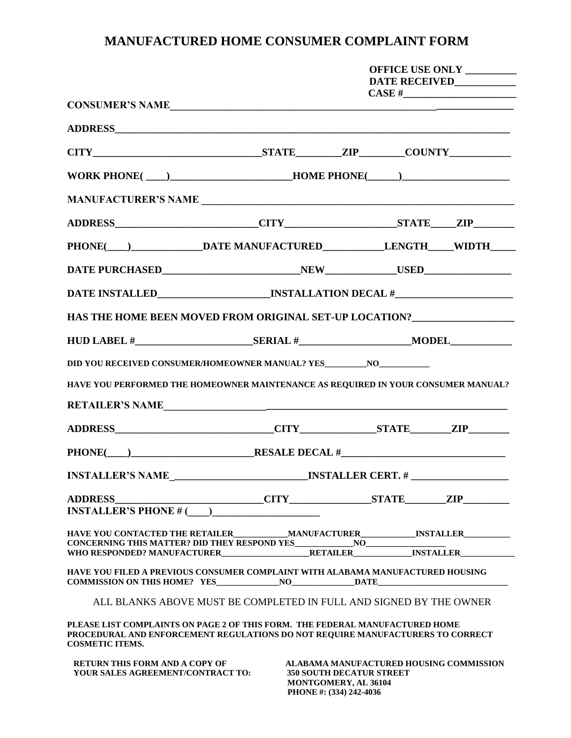## **MANUFACTURED HOME CONSUMER COMPLAINT FORM**

|                                                                                                                                                                                          |  | OFFICE USE ONLY ________<br>DATE RECEIVED___________                               |                                         |  |  |  |  |
|------------------------------------------------------------------------------------------------------------------------------------------------------------------------------------------|--|------------------------------------------------------------------------------------|-----------------------------------------|--|--|--|--|
| CONSUMER'S NAME                                                                                                                                                                          |  |                                                                                    |                                         |  |  |  |  |
|                                                                                                                                                                                          |  |                                                                                    |                                         |  |  |  |  |
|                                                                                                                                                                                          |  |                                                                                    |                                         |  |  |  |  |
|                                                                                                                                                                                          |  | WORK PHONE(___)_______________________HOME PHONE(_____)_________________________   |                                         |  |  |  |  |
|                                                                                                                                                                                          |  |                                                                                    |                                         |  |  |  |  |
|                                                                                                                                                                                          |  |                                                                                    |                                         |  |  |  |  |
| PHONE(___)_______________DATE MANUFACTURED______________LENGTH_____WIDTH_____                                                                                                            |  |                                                                                    |                                         |  |  |  |  |
|                                                                                                                                                                                          |  |                                                                                    |                                         |  |  |  |  |
|                                                                                                                                                                                          |  |                                                                                    |                                         |  |  |  |  |
|                                                                                                                                                                                          |  |                                                                                    |                                         |  |  |  |  |
|                                                                                                                                                                                          |  |                                                                                    |                                         |  |  |  |  |
| DID YOU RECEIVED CONSUMER/HOMEOWNER MANUAL? YES_________NO_______________________                                                                                                        |  |                                                                                    |                                         |  |  |  |  |
| HAVE YOU PERFORMED THE HOMEOWNER MAINTENANCE AS REQUIRED IN YOUR CONSUMER MANUAL?                                                                                                        |  |                                                                                    |                                         |  |  |  |  |
| RETAILER'S NAME                                                                                                                                                                          |  |                                                                                    |                                         |  |  |  |  |
|                                                                                                                                                                                          |  |                                                                                    |                                         |  |  |  |  |
|                                                                                                                                                                                          |  |                                                                                    |                                         |  |  |  |  |
|                                                                                                                                                                                          |  |                                                                                    |                                         |  |  |  |  |
|                                                                                                                                                                                          |  |                                                                                    |                                         |  |  |  |  |
|                                                                                                                                                                                          |  |                                                                                    |                                         |  |  |  |  |
| HAVE YOU CONTACTED THE RETAILER MANUFACTURER INSTALLER                                                                                                                                   |  |                                                                                    |                                         |  |  |  |  |
| HAVE YOU FILED A PREVIOUS CONSUMER COMPLAINT WITH ALABAMA MANUFACTURED HOUSING                                                                                                           |  |                                                                                    |                                         |  |  |  |  |
| ALL BLANKS ABOVE MUST BE COMPLETED IN FULL AND SIGNED BY THE OWNER                                                                                                                       |  |                                                                                    |                                         |  |  |  |  |
| PLEASE LIST COMPLAINTS ON PAGE 2 OF THIS FORM. THE FEDERAL MANUFACTURED HOME<br>PROCEDURAL AND ENFORCEMENT REGULATIONS DO NOT REQUIRE MANUFACTURERS TO CORRECT<br><b>COSMETIC ITEMS.</b> |  |                                                                                    |                                         |  |  |  |  |
| <b>RETURN THIS FORM AND A COPY OF</b><br>YOUR SALES AGREEMENT/CONTRACT TO:                                                                                                               |  | <b>350 SOUTH DECATUR STREET</b><br>MONTGOMERY, AL 36104<br>PHONE #: (334) 242-4036 | ALABAMA MANUFACTURED HOUSING COMMISSION |  |  |  |  |